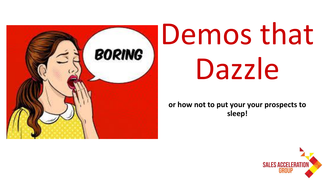

# Demos that Dazzle

**or how not to put your your prospects to sleep!**

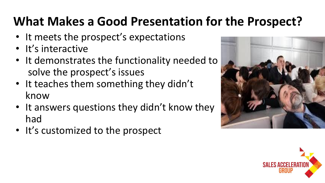#### **What Makes a Good Presentation for the Prospect?**

- It meets the prospect's expectations
- It's interactive
- It demonstrates the functionality needed to solve the prospect's issues
- It teaches them something they didn't know
- It answers questions they didn't know they had
- It's customized to the prospect



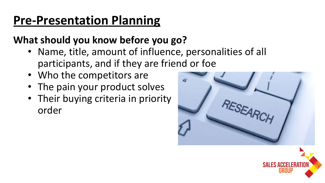#### **Pre-Presentation Planning**

#### **What should you know before you go?**

- Name, title, amount of influence, personalities of all participants, and if they are friend or foe
- Who the competitors are
- The pain your product solves
- Their buying criteria in priority order

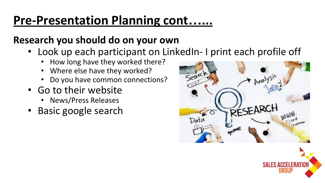#### **Pre-Presentation Planning cont…...**

#### **Research you should do on your own**

- Look up each participant on LinkedIn- I print each profile off
	- How long have they worked there?
	- Where else have they worked?
	- Do you have common connections?
- Go to their website
	- News/Press Releases
- Basic google search



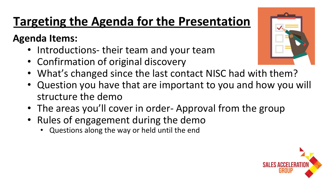## **Targeting the Agenda for the Presentation**

#### **Agenda Items:**

- Introductions-their team and your team
- Confirmation of original discovery
- What's changed since the last contact NISC had with them?
- Question you have that are important to you and how you will structure the demo
- The areas you'll cover in order- Approval from the group
- Rules of engagement during the demo
	- Questions along the way or held until the end



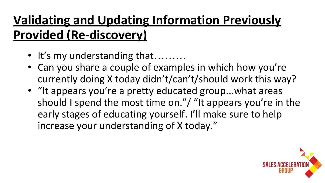## **Validating and Updating Information Previously Provided (Re-discovery)**

- It's my understanding that………
- Can you share a couple of examples in which how you're currently doing X today didn't/can't/should work this way?
- "It appears you're a pretty educated group...what areas should I spend the most time on."/ "It appears you're in the early stages of educating yourself. I'll make sure to help increase your understanding of X today."

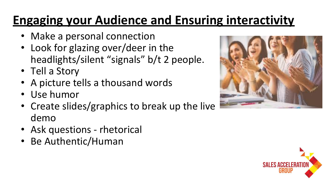## **Engaging your Audience and Ensuring interactivity**

- Make a personal connection
- Look for glazing over/deer in the headlights/silent "signals" b/t 2 people.
- Tell a Story
- A picture tells a thousand words
- Use humor
- Create slides/graphics to break up the live demo
- Ask questions rhetorical
- Be Authentic/Human



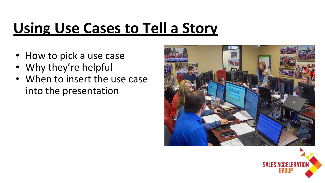## **Using Use Cases to Tell a Story**

- How to pick a use case
- Why they're helpful
- When to insert the use case into the presentation



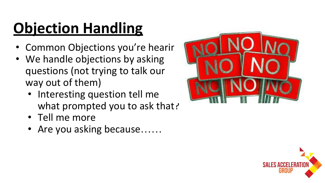# **Objection Handling**

- Common Objections you're hearir
- We handle objections by asking questions (not trying to talk our way out of them)
	- Interesting question tell me what prompted you to ask that?
	- Tell me more
	- Are you asking because……



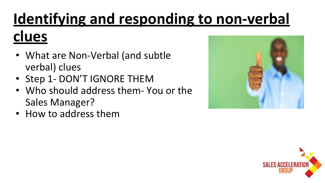# **Identifying and responding to non-verbal clues**

- What are Non-Verbal (and subtle verbal) clues
- Step 1- DON'T IGNORE THEM
- Who should address them- You or the Sales Manager?
- How to address them



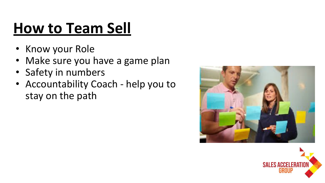## **How to Team Sell**

- Know your Role
- Make sure you have a game plan
- Safety in numbers
- Accountability Coach help you to stay on the path